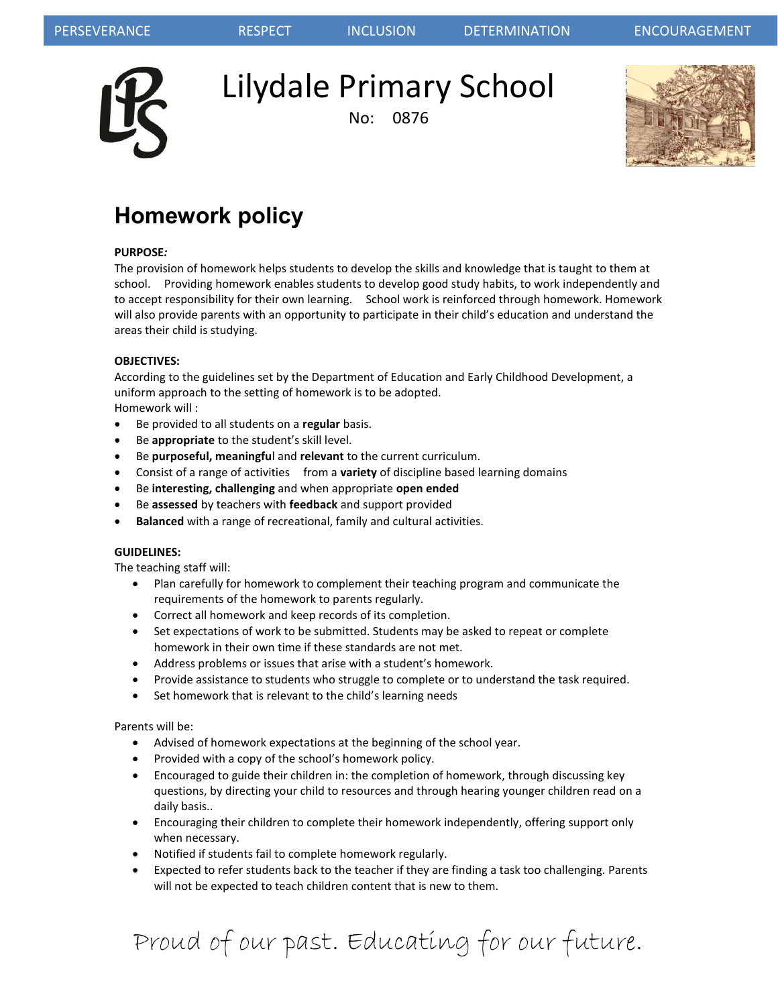

Lilydale Primary School

No: 0876



# **Homework policy**

# **PURPOSE***:*

The provision of homework helps students to develop the skills and knowledge that is taught to them at school. Providing homework enables students to develop good study habits, to work independently and to accept responsibility for their own learning. School work is reinforced through homework. Homework will also provide parents with an opportunity to participate in their child's education and understand the areas their child is studying.

## **OBJECTIVES:**

According to the guidelines set by the Department of Education and Early Childhood Development, a uniform approach to the setting of homework is to be adopted. Homework will :

- Be provided to all students on a **regular** basis.
- Be **appropriate** to the student's skill level.
- Be **purposeful, meaningfu**l and **relevant** to the current curriculum.
- Consist of a range of activities from a **variety** of discipline based learning domains
- Be **interesting, challenging** and when appropriate **open ended**
- Be **assessed** by teachers with **feedback** and support provided
- **Balanced** with a range of recreational, family and cultural activities.

## **GUIDELINES:**

The teaching staff will:

- Plan carefully for homework to complement their teaching program and communicate the requirements of the homework to parents regularly.
- Correct all homework and keep records of its completion.
- Set expectations of work to be submitted. Students may be asked to repeat or complete homework in their own time if these standards are not met.
- Address problems or issues that arise with a student's homework.
- Provide assistance to students who struggle to complete or to understand the task required.
- Set homework that is relevant to the child's learning needs

Parents will be:

- Advised of homework expectations at the beginning of the school year.
- Provided with a copy of the school's homework policy.
- Encouraged to guide their children in: the completion of homework, through discussing key questions, by directing your child to resources and through hearing younger children read on a daily basis..
- Encouraging their children to complete their homework independently, offering support only when necessary.
- Notified if students fail to complete homework regularly.
- Expected to refer students back to the teacher if they are finding a task too challenging. Parents will not be expected to teach children content that is new to them.

Proud of our past. Educating for our future.